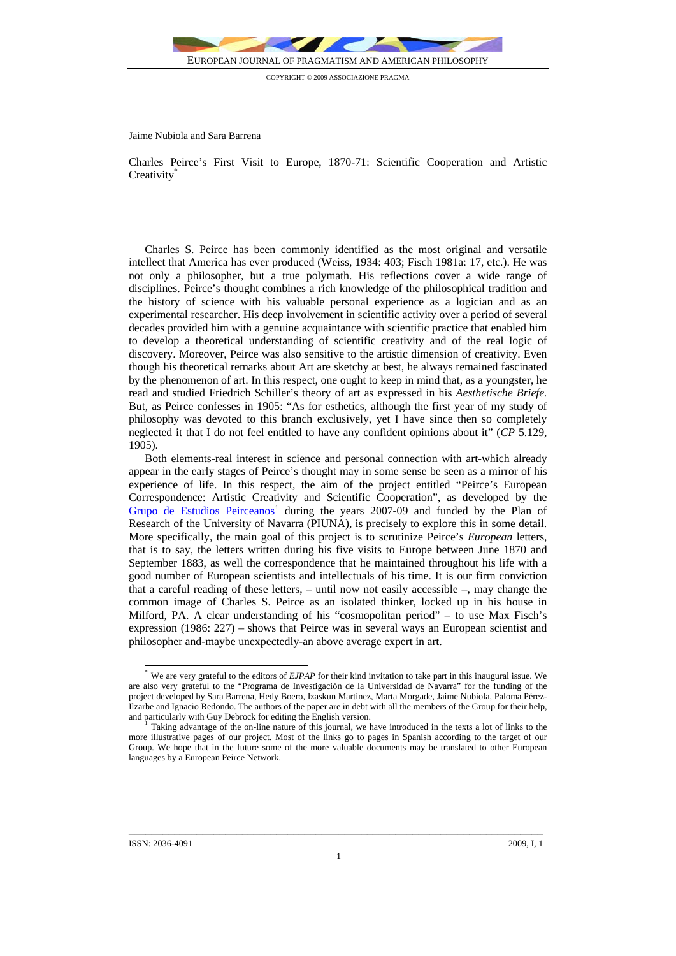

COPYRIGHT © 2009 ASSOCIAZIONE PRAGMA

Jaime Nubiola and Sara Barrena

Charles Peirce's First Visit to Europe, 1870-71: Scientific Cooperation and Artistic Creativity<sup>®</sup>

Charles S. Peirce has been commonly identified as the most original and versatile intellect that America has ever produced (Weiss, 1934: 403; Fisch 1981a: 17, etc.). He was not only a philosopher, but a true polymath. His reflections cover a wide range of disciplines. Peirce's thought combines a rich knowledge of the philosophical tradition and the history of science with his valuable personal experience as a logician and as an experimental researcher. His deep involvement in scientific activity over a period of several decades provided him with a genuine acquaintance with scientific practice that enabled him to develop a theoretical understanding of scientific creativity and of the real logic of discovery. Moreover, Peirce was also sensitive to the artistic dimension of creativity. Even though his theoretical remarks about Art are sketchy at best, he always remained fascinated by the phenomenon of art. In this respect, one ought to keep in mind that, as a youngster, he read and studied Friedrich Schiller's theory of art as expressed in his *Aesthetische Briefe.* But, as Peirce confesses in 1905: "As for esthetics, although the first year of my study of philosophy was devoted to this branch exclusively, yet I have since then so completely neglected it that I do not feel entitled to have any confident opinions about it" (*CP* 5.129, 1905).

Both elements-real interest in science and personal connection with art-which already appear in the early stages of Peirce's thought may in some sense be seen as a mirror of his experience of life. In this respect, the aim of the project entitled "Peirce's European Correspondence: Artistic Creativity and Scientific Cooperation", as developed by the [Grupo de Estudios Peirceanos](http://www/unav.es/gep/)<sup>[1](#page-0-0)</sup> during the years 2007-09 and funded by the Plan of Research of the University of Navarra (PIUNA), is precisely to explore this in some detail. More specifically, the main goal of this project is to scrutinize Peirce's *European* letters, that is to say, the letters written during his five visits to Europe between June 1870 and September 1883, as well the correspondence that he maintained throughout his life with a good number of European scientists and intellectuals of his time. It is our firm conviction that a careful reading of these letters, – until now not easily accessible –, may change the common image of Charles S. Peirce as an isolated thinker, locked up in his house in Milford, PA. A clear understanding of his "cosmopolitan period" – to use Max Fisch's expression (1986: 227) – shows that Peirce was in several ways an European scientist and philosopher and-maybe unexpectedly-an above average expert in art.

 $\overline{\phantom{a}}$ 

<span id="page-0-0"></span>We are very grateful to the editors of *EJPAP* for their kind invitation to take part in this inaugural issue. We are also very grateful to the "Programa de Investigación de la Universidad de Navarra" for the funding of the project developed by Sara Barrena, Hedy Boero, Izaskun Martínez, Marta Morgade, Jaime Nubiola, Paloma Pérez-Ilzarbe and Ignacio Redondo. The authors of the paper are in debt with all the members of the Group for their help,

Taking advantage of the on-line nature of this journal, we have introduced in the texts a lot of links to the more illustrative pages of our project. Most of the links go to pages in Spanish according to the target of our Group. We hope that in the future some of the more valuable documents may be translated to other European languages by a European Peirce Network.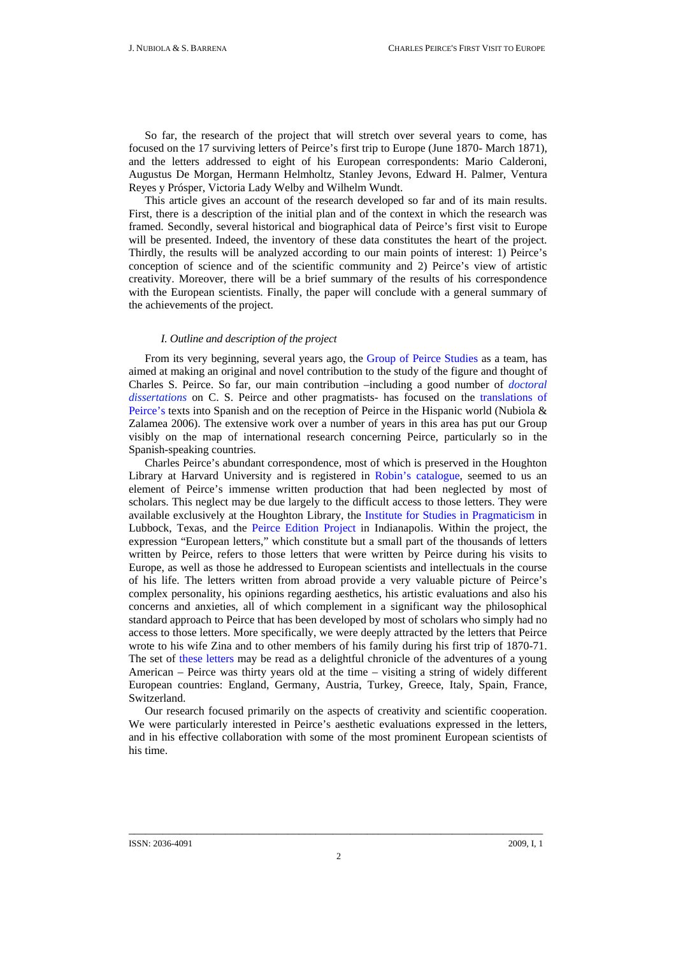So far, the research of the project that will stretch over several years to come, has focused on the 17 surviving letters of Peirce's first trip to Europe (June 1870- March 1871), and the letters addressed to eight of his European correspondents: Mario Calderoni, Augustus De Morgan, Hermann Helmholtz, Stanley Jevons, Edward H. Palmer, Ventura Reyes y Prósper, Victoria Lady Welby and Wilhelm Wundt.

This article gives an account of the research developed so far and of its main results. First, there is a description of the initial plan and of the context in which the research was framed. Secondly, several historical and biographical data of Peirce's first visit to Europe will be presented. Indeed, the inventory of these data constitutes the heart of the project. Thirdly, the results will be analyzed according to our main points of interest: 1) Peirce's conception of science and of the scientific community and 2) Peirce's view of artistic creativity. Moreover, there will be a brief summary of the results of his correspondence with the European scientists. Finally, the paper will conclude with a general summary of the achievements of the project.

## *I. Outline and description of the project*

From its very beginning, several years ago, the [Group of Peirce Studies](http://www.unav.es/gep/) as a team, has aimed at making an original and novel contribution to the study of the figure and thought of Charles S. Peirce. So far, our main contribution –including a good number of *[doctoral](http://www.unav.es/gep/TesisDoctorales.html)  [dissertations](http://www.unav.es/gep/TesisDoctorales.html)* on C. S. Peirce and other pragmatists- has focused on the [translations of](http://www.unav.es/gep/Peirce-esp.html)  [Peirce's](http://www.unav.es/gep/Peirce-esp.html) texts into Spanish and on the reception of Peirce in the Hispanic world (Nubiola & Zalamea 2006). The extensive work over a number of years in this area has put our Group visibly on the map of international research concerning Peirce, particularly so in the Spanish-speaking countries.

Charles Peirce's abundant correspondence, most of which is preserved in the [Houghton](http://hcl.harvard.edu/libraries/houghton/)  [Library](http://hcl.harvard.edu/libraries/houghton/) at Harvard University and is registered in [Robin's catalogue](http://www.iupui.edu/%7Epeirce/robin/rcatalog.htm), seemed to us an element of Peirce's immense written production that had been neglected by most of scholars. This neglect may be due largely to the difficult access to those letters. They were available exclusively at the Houghton Library, the [Institute for Studies in Pragmaticism](http://www.pragmaticism.net./) in Lubbock, Texas, and the [Peirce Edition Project](http://www.iupui.edu/%7Epeirce/) in Indianapolis. Within the project, the expression "European letters," which constitute but a small part of the thousands of letters written by Peirce, refers to those letters that were written by Peirce during his visits to Europe, as well as those he addressed to European scientists and intellectuals in the course of his life. The letters written from abroad provide a very valuable picture of Peirce's complex personality, his opinions regarding aesthetics, his artistic evaluations and also his concerns and anxieties, all of which complement in a significant way the philosophical standard approach to Peirce that has been developed by most of scholars who simply had no access to those letters. More specifically, we were deeply attracted by the letters that Peirce wrote to his wife Zina and to other members of his family during his first trip of 1870-71. The set of [these letters](http://www.unav.es/gep/PrimerViaje.html) may be read as a delightful chronicle of the adventures of a young American – Peirce was thirty years old at the time – visiting a string of widely different European countries: England, Germany, Austria, Turkey, Greece, Italy, Spain, France, Switzerland.

Our research focused primarily on the aspects of creativity and scientific cooperation. We were particularly interested in Peirce's aesthetic evaluations expressed in the letters, and in his effective collaboration with some of the most prominent European scientists of his time.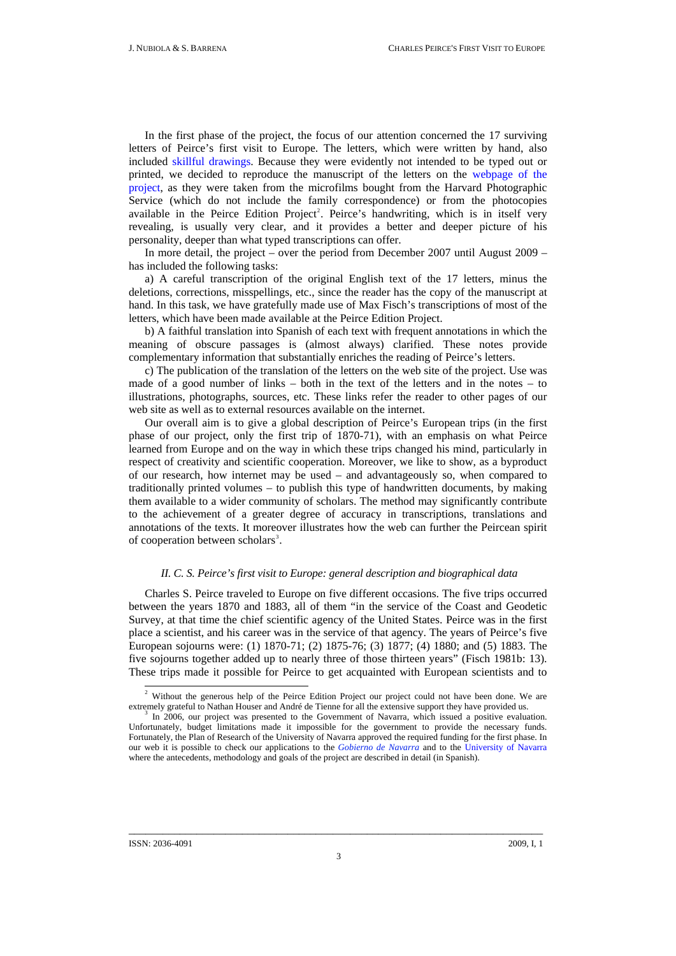In the first phase of the project, the focus of our attention concerned the 17 surviving letters of Peirce's first visit to Europe. The letters, which were written by hand, also included [skillful drawings.](http://www.unav.es/gep/Zina28.08.70.html) Because they were evidently not intended to be typed out or printed, we decided to reproduce the manuscript of the letters on the [webpage of the](http://www.unav.es/gep/PrimerViaje.html)  [project](http://www.unav.es/gep/PrimerViaje.html), as they were taken from the microfilms bought from the Harvard Photographic Service (which do not include the family correspondence) or from the photocopies available in the Peirce Edition Project<sup>2</sup>. Peirce's handwriting, which is in itself very revealing, is usually very clear, and it provides a better and deeper picture of his personality, deeper than what typed transcriptions can offer.

In more detail, the project – over the period from December 2007 until August 2009 – has included the following tasks:

a) A careful transcription of the original English text of the 17 letters, minus the deletions, corrections, misspellings, etc., since the reader has the copy of the manuscript at hand. In this task, we have gratefully made use of Max Fisch's transcriptions of most of the letters, which have been made available at the Peirce Edition Project.

b) A faithful translation into Spanish of each text with frequent annotations in which the meaning of obscure passages is (almost always) clarified. These notes provide complementary information that substantially enriches the reading of Peirce's letters.

c) The publication of the translation of the letters on the web site of the project. Use was made of a good number of links – both in the text of the letters and in the notes – to illustrations, photographs, sources, etc. These links refer the reader to other pages of our web site as well as to external resources available on the internet.

Our overall aim is to give a global description of Peirce's European trips (in the first phase of our project, only the first trip of 1870-71), with an emphasis on what Peirce learned from Europe and on the way in which these trips changed his mind, particularly in respect of creativity and scientific cooperation. Moreover, we like to show, as a byproduct of our research, how internet may be used – and advantageously so, when compared to traditionally printed volumes – to publish this type of handwritten documents, by making them available to a wider community of scholars. The method may significantly contribute to the achievement of a greater degree of accuracy in transcriptions, translations and annotations of the texts. It moreover illustrates how the web can further the Peircean spirit of cooperation between scholars<sup>[3](#page-2-1)</sup>.

## *II. C. S. Peirce's first visit to Europe: general description and biographical data*

Charles S. Peirce traveled to Europe on five different occasions. The five trips occurred between the years 1870 and 1883, all of them "in the service of the Coast and Geodetic Survey, at that time the chief scientific agency of the United States. Peirce was in the first place a scientist, and his career was in the service of that agency. The years of Peirce's five European sojourns were: (1) 1870-71; (2) 1875-76; (3) 1877; (4) 1880; and (5) 1883. The five sojourns together added up to nearly three of those thirteen years" (Fisch 1981b: 13). These trips made it possible for Peirce to get acquainted with European scientists and to

 $\overline{\phantom{a}}$ 

<span id="page-2-0"></span><sup>2</sup> Without the generous help of the Peirce Edition Project our project could not have been done. We are extremely grateful to Nathan Houser and André de Tienne for all the extensive support they have provided us.<br><sup>3</sup> In 2006, our project was presented to the Government of Navarra, which issued a positive evaluation.

<span id="page-2-1"></span>Unfortunately, budget limitations made it impossible for the government to provide the necessary funds. Fortunately, the Plan of Research of the University of Navarra approved the required funding for the first phase. In our web it is possible to check our applications to the *[Gobierno de Navarra](http://www.unav.es/gep/SolicitudGN.pdf)* and to the [University of Navarra](http://www.unav.es/gep/SolicitudPIUNA.pdf) where the antecedents, methodology and goals of the project are described in detail (in Spanish).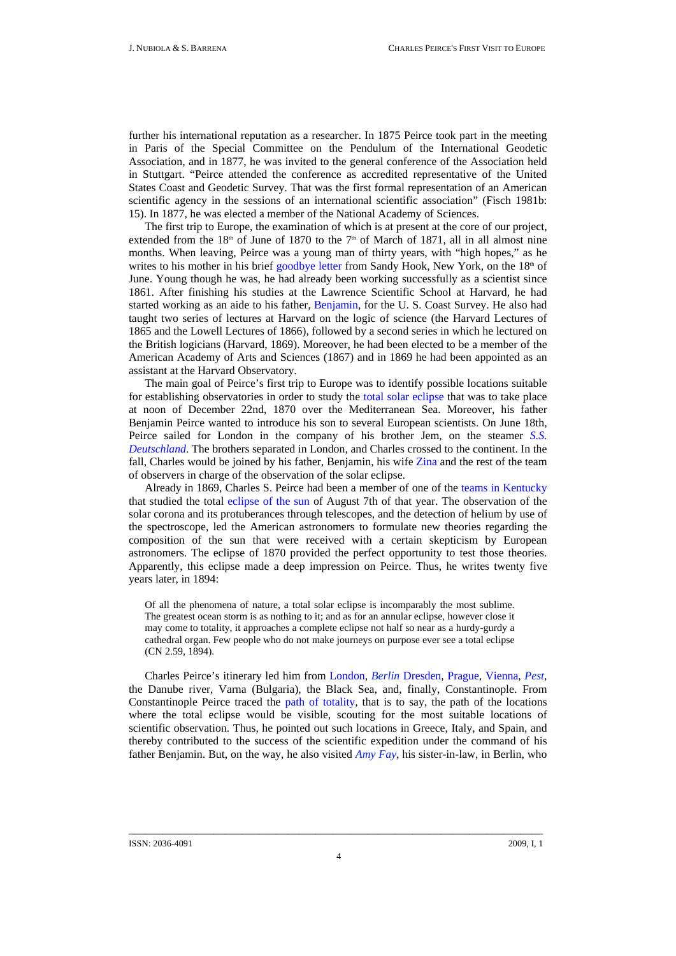further his international reputation as a researcher. In 1875 Peirce took part in the meeting in Paris of the Special Committee on the Pendulum of the International Geodetic Association, and in 1877, he was invited to the general conference of the Association held in Stuttgart. "Peirce attended the conference as accredited representative of the United States Coast and Geodetic Survey. That was the first formal representation of an American scientific agency in the sessions of an international scientific association" (Fisch 1981b: 15). In 1877, he was elected a member of the National Academy of Sciences.

The first trip to Europe, the examination of which is at present at the core of our project, extended from the  $18<sup>th</sup>$  of June of 1870 to the 7<sup>th</sup> of March of 1871, all in all almost nine months. When leaving, Peirce was a young man of thirty years, with "high hopes," as he writes to his mother in his brief [goodbye letter](http://www.unav.es/gep/Mother18.06.70.html) from Sandy Hook, New York, on the  $18<sup>th</sup>$  of June. Young though he was, he had already been working successfully as a scientist since 1861. After finishing his studies at the Lawrence Scientific School at Harvard, he had started working as an aide to his father, [Benjamin](http://www.unav.es/gep/father.html), for the U. S. Coast Survey. He also had taught two series of lectures at Harvard on the logic of science (the Harvard Lectures of 1865 and the Lowell Lectures of 1866), followed by a second series in which he lectured on the British logicians (Harvard, 1869). Moreover, he had been elected to be a member of the American Academy of Arts and Sciences (1867) and in 1869 he had been appointed as an assistant at the Harvard Observatory.

The main goal of Peirce's first trip to Europe was to identify possible locations suitable for establishing observatories in order to study the [total solar eclipse](http://www.unav.es/gep/ZonaTotalidadEclipse.html) that was to take place at noon of December 22nd, 1870 over the Mediterranean Sea. Moreover, his father Benjamin Peirce wanted to introduce his son to several European scientists. On June 18th, Peirce sailed for London in the company of his brother Jem, on the steamer *[S.S.](http://www.unav.es/gep/Deutschland.html)  [Deutschland](http://www.unav.es/gep/Deutschland.html)*. The brothers separated in London, and Charles crossed to the continent. In the fall, Charles would be joined by his father, Benjamin, his wife [Zina](http://www.unav.es/gep/zina.html) and the rest of the team of observers in charge of the observation of the solar eclipse.

Already in 1869, Charles S. Peirce had been a [member of one of the teams in Kentucky](http://www.iupui.edu/%7Epeirce/writings/v2/w2/w2_27/v2_27.htm) that studied the total [eclipse of the sun](http://www.unav.es/gep/EclipseKentucky.html) of August 7th of that year. The observation of the solar corona and its protuberances through telescopes, and the detection of helium by use of the spectroscope, led the American astronomers to formulate new theories regarding the composition of the sun that were received with a certain skepticism by European astronomers. The eclipse of 1870 provided the perfect opportunity to test those theories. Apparently, this eclipse made a deep impression on Peirce. Thus, he writes twenty five years later, in 1894:

Of all the phenomena of nature, a total solar eclipse is incomparably the most sublime. The greatest ocean storm is as nothing to it; and as for an annular eclipse, however close it may come to totality, it approaches a complete eclipse not half so near as a hurdy-gurdy a cathedral organ. Few people who do not make journeys on purpose ever see a total eclipse (CN 2.59, 1894).

Charles Peirce's itinerary led him from [London,](http://www.unav.es/gep/Londres.html) *[Berlin](http://www.unav.es/gep/Berlin1870.html)* [Dresden,](http://www.unav.es/gep/Dresde.html) [Prague](http://www.unav.es/gep/Praga.html), [Vienna,](http://www.unav.es/gep/Viena.html) *[Pest](http://www.unav.es/gep/Pest.html)*, the Danube river, Varna (Bulgaria), the Black Sea, and, finally, Constantinople. From Constantinople Peirce traced the [path of totality,](http://www.unav.es/gep/ZonaTotalidadEclipse.html) that is to say, the path of the locations where the total eclipse would be visible, scouting for the most suitable locations of scientific observation. Thus, he pointed out such locations in Greece, Italy, and Spain, and thereby contributed to the success of the scientific expedition under the command of his father Benjamin. But, on the way, he also visited *[Amy Fay](http://www.unav.es/gep/AmyFay.html)*, his sister-in-law, in Berlin, who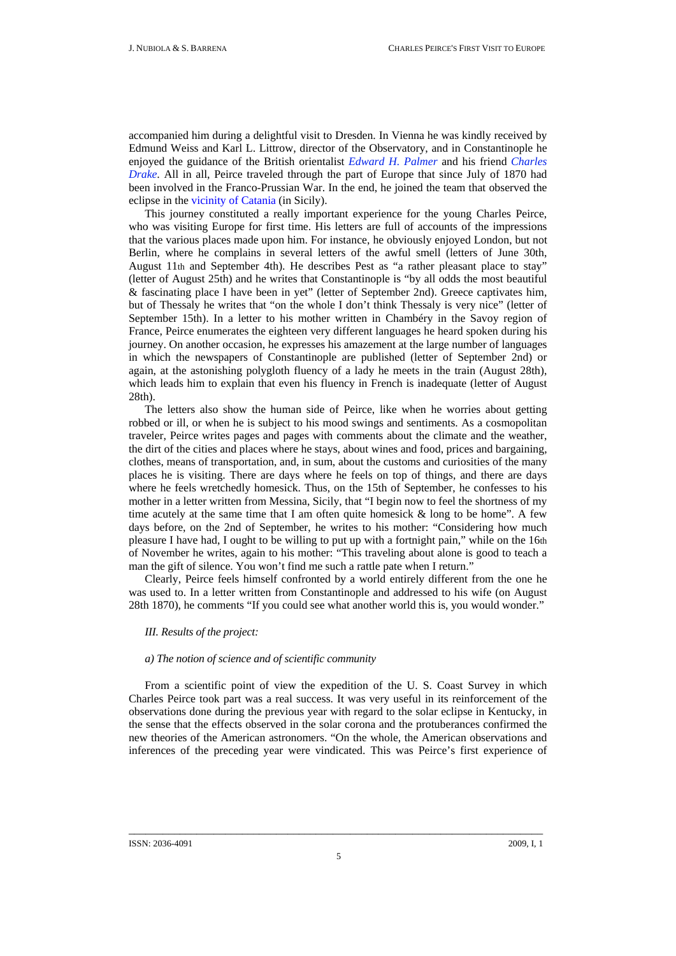accompanied him during a delightful visit to Dresden. In Vienna he was kindly received by Edmund Weiss and Karl L. Littrow, director of the Observatory, and in Constantinople he enjoyed the guidance of the British orientalist *[Edward H. Palmer](http://www.unav.es/gep/EdwardHenryPalmer.html)* and his friend *[Charles](http://www.unav.es/gep/CharlesDrake.html)  [Drake](http://www.unav.es/gep/CharlesDrake.html)*. All in all, Peirce traveled through the part of Europe that since July of 1870 had been involved in the Franco-Prussian War. In the end, he joined the team that observed the eclipse in the [vicinity of Catania](http://www.unav.es/gep/GrupoCatania.html) (in Sicily).

This journey constituted a really important experience for the young Charles Peirce, who was visiting Europe for first time. His letters are full of accounts of the impressions that the various places made upon him. For instance, he obviously enjoyed London, but not Berlin, where he complains in several letters of the awful smell (letters of June 30th, August 11th and September 4th). He describes Pest as "a rather pleasant place to stay" (letter of August 25th) and he writes that Constantinople is "by all odds the most beautiful & fascinating place I have been in yet" (letter of September 2nd). Greece captivates him, but of Thessaly he writes that "on the whole I don't think Thessaly is very nice" (letter of September 15th). In a letter to his mother written in Chambéry in the Savoy region of France, Peirce enumerates the eighteen very different languages he heard spoken during his journey. On another occasion, he expresses his amazement at the large number of languages in which the newspapers of Constantinople are published (letter of September 2nd) or again, at the astonishing polygloth fluency of a lady he meets in the train (August 28th), which leads him to explain that even his fluency in French is inadequate (letter of August 28th).

The letters also show the human side of Peirce, like when he worries about getting robbed or ill, or when he is subject to his mood swings and sentiments. As a cosmopolitan traveler, Peirce writes pages and pages with comments about the climate and the weather, the dirt of the cities and places where he stays, about wines and food, prices and bargaining, clothes, means of transportation, and, in sum, about the customs and curiosities of the many places he is visiting. There are days where he feels on top of things, and there are days where he feels wretchedly homesick. Thus, on the 15th of September, he confesses to his mother in a letter written from Messina, Sicily, that "I begin now to feel the shortness of my time acutely at the same time that I am often quite homesick  $\&$  long to be home". A few days before, on the 2nd of September, he writes to his mother: "Considering how much pleasure I have had, I ought to be willing to put up with a fortnight pain," while on the 16th of November he writes, again to his mother: "This traveling about alone is good to teach a man the gift of silence. You won't find me such a rattle pate when I return."

Clearly, Peirce feels himself confronted by a world entirely different from the one he was used to. In a letter written from Constantinople and addressed to his wife (on August 28th 1870), he comments "If you could see what another world this is, you would wonder."

# *III. Results of the project:*

## *a) The notion of science and of scientific community*

From a scientific point of view the expedition of the U. S. Coast Survey in which Charles Peirce took part was a real success. It was very useful in its reinforcement of the observations done during the previous year with regard to the solar eclipse in Kentucky, in the sense that the effects observed in the solar corona and the protuberances confirmed the new theories of the American astronomers. "On the whole, the American observations and inferences of the preceding year were vindicated. This was Peirce's first experience of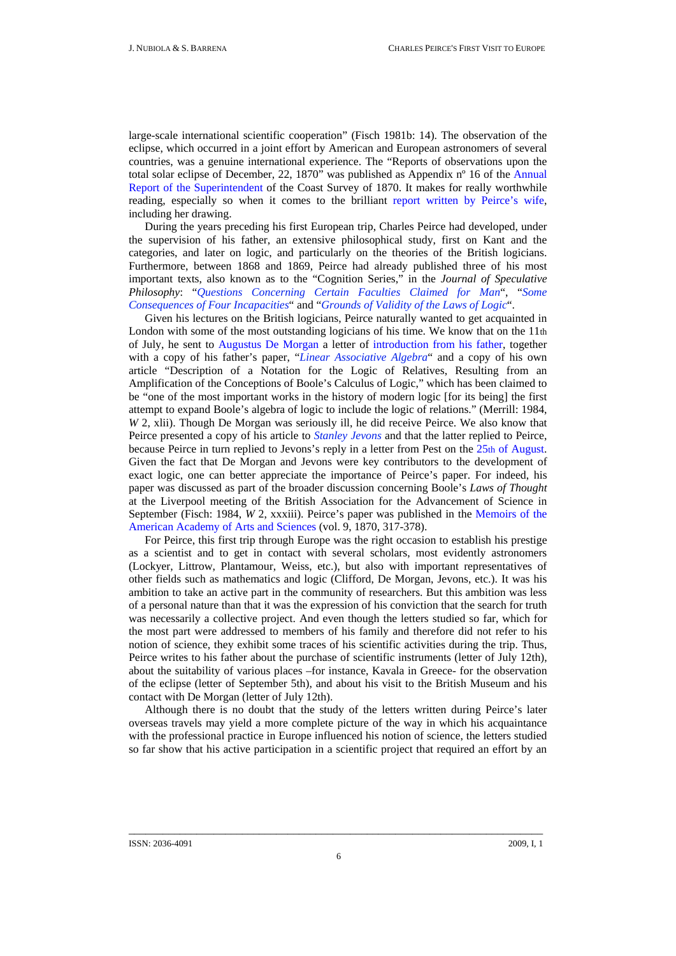large-scale international scientific cooperation" (Fisch 1981b: 14). The observation of the eclipse, which occurred in a joint effort by American and European astronomers of several countries, was a genuine international experience. The "Reports of observations upon the total solar eclipse of December, 22, 1870" was published as Appendix nº 16 of the [Annual](http://www.unav.es/gep/USCoastSurveyReport.PDF)  [Report of the Superintendent of the Coast Survey of 1870](http://www.unav.es/gep/USCoastSurveyReport.PDF). It makes for really worthwhile reading, especially so when it comes to the brilliant [report written by Peirce's wife](http://www.unav.es/gep/ZinaInformeG1.html), including her [drawing.](http://www.unav.es/gep/EclipseZina.html)

During the years preceding his first European trip, Charles Peirce had developed, under the supervision of his father, an extensive philosophical study, first on Kant and the categories, and later on logic, and particularly on the theories of the British logicians. Furthermore, between 1868 and 1869, Peirce had already published three of his most important texts, also known as to the "Cognition Series," in the *Journal of Speculative Philosophy*: "*[Questions Concerning Certain Faculties Claimed for Man](http://www.cspeirce.com/menu/library/bycsp/question/qu-frame.htm)*", "*[Some](http://www.cspeirce.com/menu/library/bycsp/conseq/cn-frame.htm)  [Consequences of Four Incapacities](http://www.cspeirce.com/menu/library/bycsp/conseq/cn-frame.htm)*" and "*[Grounds of Validity of the Laws of Logic](http://www.peirce.org/writings/p41.html)*".

Given his lectures on the British logicians, Peirce naturally wanted to get acquainted in London with some of the most outstanding logicians of his time. We know that on the 11th of July, he sent to [Augustus De Morgan](http://www.unav.es/gep/DeMorgan.html) a letter of [introduction from his father,](http://www.unav.es/gep/BPeirce17.06.70.html) together with a copy of his father's paper, "*[Linear Associative Algebra](http://www.math.harvard.edu/history/peirce_algebra/index.html)*" and a copy of his own article "Description of a Notation for the Logic of Relatives, Resulting from an Amplification of the Conceptions of Boole's Calculus of Logic," which has been claimed to be "one of the most important works in the history of modern logic [for its being] the first attempt to expand Boole's algebra of logic to include the logic of relations." (Merrill: 1984, *W* 2, xlii). Though De Morgan was seriously ill, he did receive Peirce. We also know that Peirce presented a copy of his article to *[Stanley Jevons](http://www.unav.es/gep/Jevons.html)* and that the latter replied to Peirce, because Peirce in turn replied to Jevons's reply in a letter from Pest on the [25th of August](http://www.unav.es/gep/Jevons25.08.70.html). Given the fact that De Morgan and Jevons were key contributors to the development of exact logic, one can better appreciate the importance of Peirce's paper. For indeed, his paper was discussed as part of the broader discussion concerning Boole's *Laws of Thought*  at the Liverpool meeting of the British Association for the Advancement of Science in September (Fisch: 1984, *W* 2, xxxiii). Peirce's paper was published in the Memoirs of the [American Academy of Arts and Sciences](http://www.jstor.org/pss/25058006) (vol. 9, 1870, 317-378).

For Peirce, this first trip through Europe was the right occasion to establish his prestige as a scientist and to get in contact with several scholars, most evidently astronomers (Lockyer, Littrow, Plantamour, Weiss, etc.), but also with important representatives of other fields such as mathematics and logic (Clifford, De Morgan, Jevons, etc.). It was his ambition to take an active part in the community of researchers. But this ambition was less of a personal nature than that it was the expression of his conviction that the search for truth was necessarily a collective project. And even though the letters studied so far, which for the most part were addressed to members of his family and therefore did not refer to his notion of science, they exhibit some traces of his scientific activities during the trip. Thus, Peirce writes to his father about the purchase of scientific instruments (letter of July 12th), about the suitability of various places –for instance, Kavala in Greece- for the observation of the eclipse (letter of September 5th), and about his visit to the British Museum and his contact with De Morgan (letter of July 12th).

Although there is no doubt that the study of the letters written during Peirce's later overseas travels may yield a more complete picture of the way in which his acquaintance with the professional practice in Europe influenced his notion of science, the letters studied so far show that his active participation in a scientific project that required an effort by an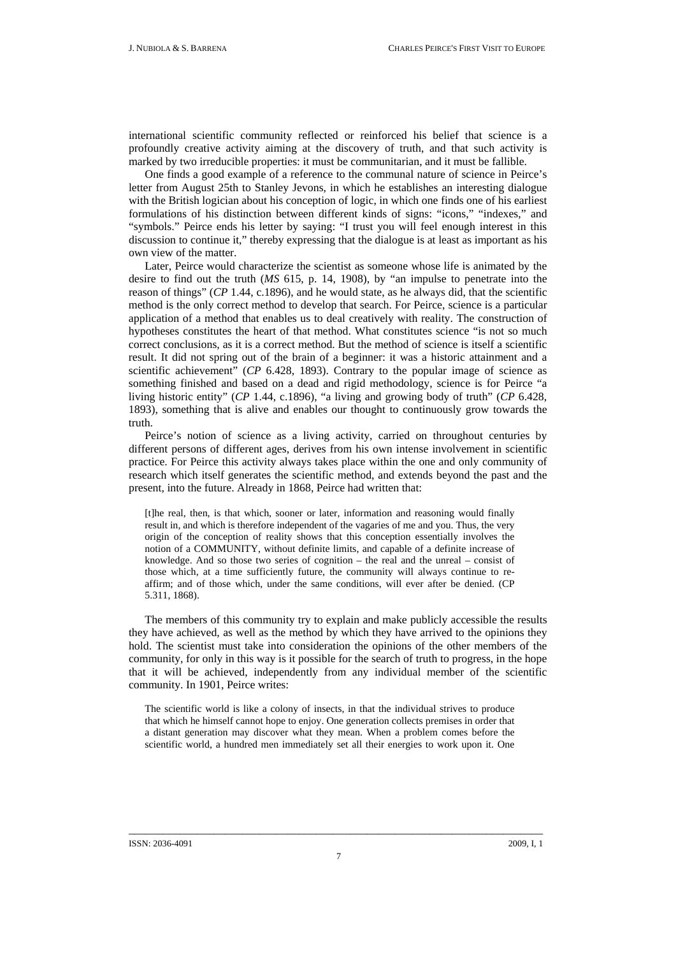international scientific community reflected or reinforced his belief that science is a profoundly creative activity aiming at the discovery of truth, and that such activity is marked by two irreducible properties: it must be communitarian, and it must be fallible.

One finds a good example of a reference to the communal nature of science in Peirce's letter from August 25th to Stanley Jevons, in which he establishes an interesting dialogue with the British logician about his conception of logic, in which one finds one of his earliest formulations of his distinction between different kinds of signs: "icons," "indexes," and "symbols." Peirce ends his letter by saying: "I trust you will feel enough interest in this discussion to continue it," thereby expressing that the dialogue is at least as important as his own view of the matter.

Later, Peirce would characterize the scientist as someone whose life is animated by the desire to find out the truth (*MS* 615, p. 14, 1908), by "an impulse to penetrate into the reason of things" (*CP* 1.44, c.1896), and he would state, as he always did, that the scientific method is the only correct method to develop that search. For Peirce, science is a particular application of a method that enables us to deal creatively with reality. The construction of hypotheses constitutes the heart of that method. What constitutes science "is not so much correct conclusions, as it is a correct method. But the method of science is itself a scientific result. It did not spring out of the brain of a beginner: it was a historic attainment and a scientific achievement" (*CP* 6.428, 1893). Contrary to the popular image of science as something finished and based on a dead and rigid methodology, science is for Peirce "a living historic entity" (*CP* 1.44, c.1896), "a living and growing body of truth" (*CP* 6.428, 1893), something that is alive and enables our thought to continuously grow towards the truth.

Peirce's notion of science as a living activity, carried on throughout centuries by different persons of different ages, derives from his own intense involvement in scientific practice. For Peirce this activity always takes place within the one and only community of research which itself generates the scientific method, and extends beyond the past and the present, into the future. Already in 1868, Peirce had written that:

[t]he real, then, is that which, sooner or later, information and reasoning would finally result in, and which is therefore independent of the vagaries of me and you. Thus, the very origin of the conception of reality shows that this conception essentially involves the notion of a COMMUNITY, without definite limits, and capable of a definite increase of knowledge. And so those two series of cognition – the real and the unreal – consist of those which, at a time sufficiently future, the community will always continue to reaffirm; and of those which, under the same conditions, will ever after be denied. (CP 5.311, 1868).

The members of this community try to explain and make publicly accessible the results they have achieved, as well as the method by which they have arrived to the opinions they hold. The scientist must take into consideration the opinions of the other members of the community, for only in this way is it possible for the search of truth to progress, in the hope that it will be achieved, independently from any individual member of the scientific community. In 1901, Peirce writes:

The scientific world is like a colony of insects, in that the individual strives to produce that which he himself cannot hope to enjoy. One generation collects premises in order that a distant generation may discover what they mean. When a problem comes before the scientific world, a hundred men immediately set all their energies to work upon it. One

#### ISSN: 2036-4091 2009, I, 1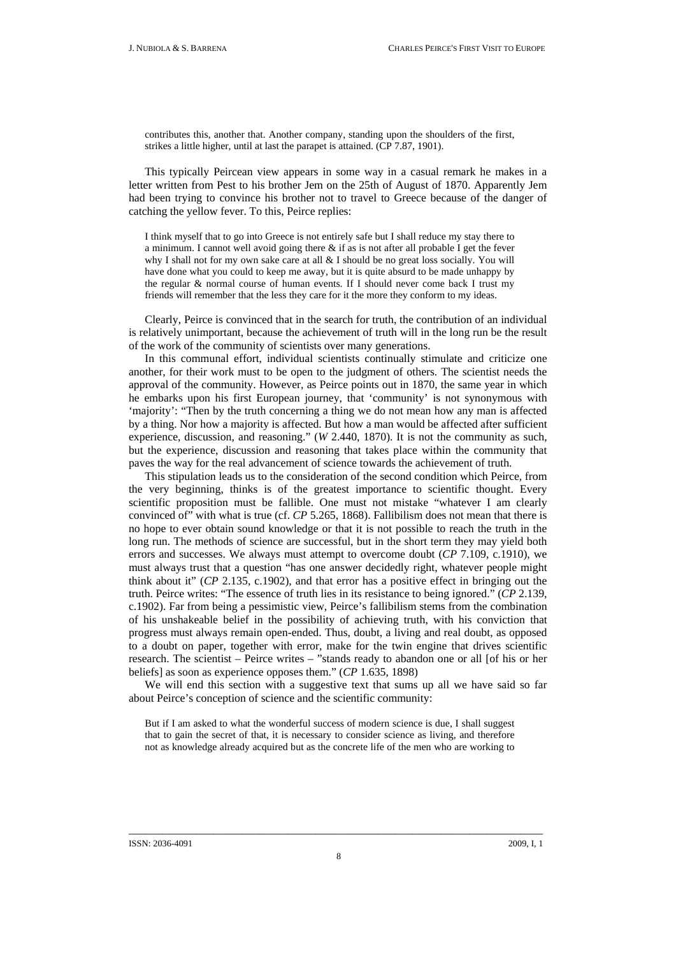contributes this, another that. Another company, standing upon the shoulders of the first, strikes a little higher, until at last the parapet is attained. (CP 7.87, 1901).

This typically Peircean view appears in some way in a casual remark he makes in a letter written from Pest to his brother Jem on the 25th of August of 1870. Apparently Jem had been trying to convince his brother not to travel to Greece because of the danger of catching the yellow fever. To this, Peirce replies:

I think myself that to go into Greece is not entirely safe but I shall reduce my stay there to a minimum. I cannot well avoid going there  $\&$  if as is not after all probable I get the fever why I shall not for my own sake care at all & I should be no great loss socially. You will have done what you could to keep me away, but it is quite absurd to be made unhappy by the regular & normal course of human events. If I should never come back I trust my friends will remember that the less they care for it the more they conform to my ideas.

Clearly, Peirce is convinced that in the search for truth, the contribution of an individual is relatively unimportant, because the achievement of truth will in the long run be the result of the work of the community of scientists over many generations.

In this communal effort, individual scientists continually stimulate and criticize one another, for their work must to be open to the judgment of others. The scientist needs the approval of the community. However, as Peirce points out in 1870, the same year in which he embarks upon his first European journey, that 'community' is not synonymous with 'majority': "Then by the truth concerning a thing we do not mean how any man is affected by a thing. Nor how a majority is affected. But how a man would be affected after sufficient experience, discussion, and reasoning." (*W* 2.440, 1870). It is not the community as such, but the experience, discussion and reasoning that takes place within the community that paves the way for the real advancement of science towards the achievement of truth.

This stipulation leads us to the consideration of the second condition which Peirce, from the very beginning, thinks is of the greatest importance to scientific thought. Every scientific proposition must be fallible. One must not mistake "whatever I am clearly convinced of" with what is true (cf. *CP* 5.265, 1868). Fallibilism does not mean that there is no hope to ever obtain sound knowledge or that it is not possible to reach the truth in the long run. The methods of science are successful, but in the short term they may yield both errors and successes. We always must attempt to overcome doubt (*CP* 7.109, c.1910), we must always trust that a question "has one answer decidedly right, whatever people might think about it" (*CP* 2.135, c.1902), and that error has a positive effect in bringing out the truth. Peirce writes: "The essence of truth lies in its resistance to being ignored." (*CP* 2.139, c.1902). Far from being a pessimistic view, Peirce's fallibilism stems from the combination of his unshakeable belief in the possibility of achieving truth, with his conviction that progress must always remain open-ended. Thus, doubt, a living and real doubt, as opposed to a doubt on paper, together with error, make for the twin engine that drives scientific research. The scientist – Peirce writes – "stands ready to abandon one or all [of his or her beliefs] as soon as experience opposes them." (*CP* 1.635, 1898)

We will end this section with a suggestive text that sums up all we have said so far about Peirce's conception of science and the scientific community:

But if I am asked to what the wonderful success of modern science is due, I shall suggest that to gain the secret of that, it is necessary to consider science as living, and therefore not as knowledge already acquired but as the concrete life of the men who are working to

#### ISSN: 2036-4091 2009, I, 1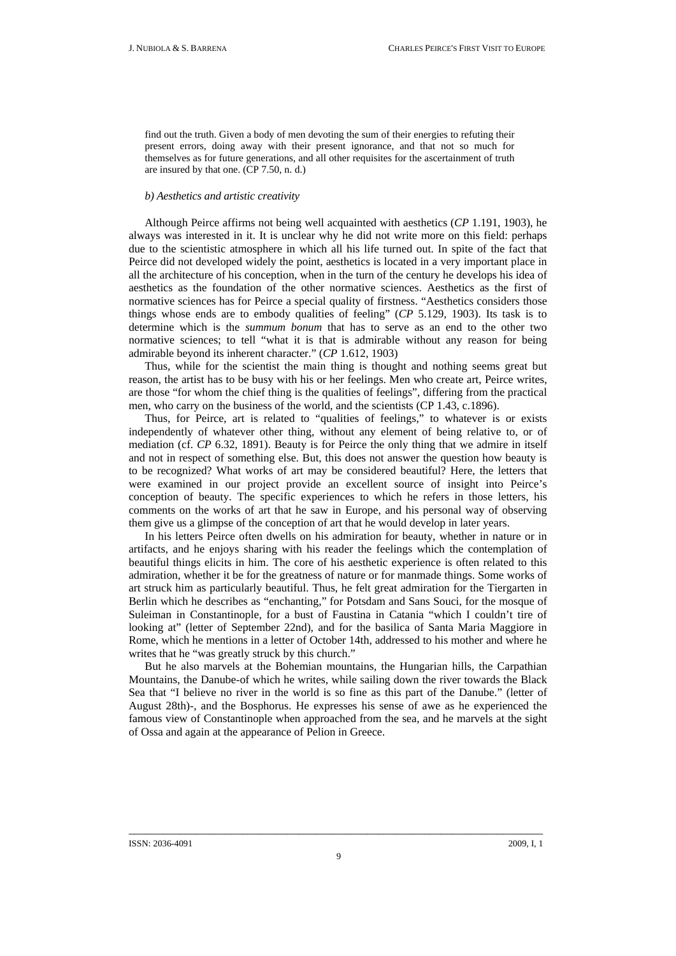find out the truth. Given a body of men devoting the sum of their energies to refuting their present errors, doing away with their present ignorance, and that not so much for themselves as for future generations, and all other requisites for the ascertainment of truth are insured by that one. (CP 7.50, n. d.)

### *b) Aesthetics and artistic creativity*

Although Peirce affirms not being well acquainted with aesthetics (*CP* 1.191, 1903), he always was interested in it. It is unclear why he did not write more on this field: perhaps due to the scientistic atmosphere in which all his life turned out. In spite of the fact that Peirce did not developed widely the point, aesthetics is located in a very important place in all the architecture of his conception, when in the turn of the century he develops his idea of aesthetics as the foundation of the other normative sciences. Aesthetics as the first of normative sciences has for Peirce a special quality of firstness. "Aesthetics considers those things whose ends are to embody qualities of feeling" (*CP* 5.129, 1903). Its task is to determine which is the *summum bonum* that has to serve as an end to the other two normative sciences; to tell "what it is that is admirable without any reason for being admirable beyond its inherent character." (*CP* 1.612, 1903)

Thus, while for the scientist the main thing is thought and nothing seems great but reason, the artist has to be busy with his or her feelings. Men who create art, Peirce writes, are those "for whom the chief thing is the qualities of feelings", differing from the practical men, who carry on the business of the world, and the scientists (CP 1.43, c.1896).

Thus, for Peirce, art is related to "qualities of feelings," to whatever is or exists independently of whatever other thing, without any element of being relative to, or of mediation (cf. *CP* 6.32, 1891). Beauty is for Peirce the only thing that we admire in itself and not in respect of something else. But, this does not answer the question how beauty is to be recognized? What works of art may be considered beautiful? Here, the letters that were examined in our project provide an excellent source of insight into Peirce's conception of beauty. The specific experiences to which he refers in those letters, his comments on the works of art that he saw in Europe, and his personal way of observing them give us a glimpse of the conception of art that he would develop in later years.

In his letters Peirce often dwells on his admiration for beauty, whether in nature or in artifacts, and he enjoys sharing with his reader the feelings which the contemplation of beautiful things elicits in him. The core of his aesthetic experience is often related to this admiration, whether it be for the greatness of nature or for manmade things. Some works of art struck him as particularly beautiful. Thus, he felt great admiration for the Tiergarten in Berlin which he describes as "enchanting," for Potsdam and Sans Souci, for the mosque of Suleiman in Constantinople, for a bust of Faustina in Catania "which I couldn't tire of looking at" (letter of September 22nd), and for the basilica of Santa Maria Maggiore in Rome, which he mentions in a letter of October 14th, addressed to his mother and where he writes that he "was greatly struck by this church."

But he also marvels at the Bohemian mountains, the Hungarian hills, the Carpathian Mountains, the Danube-of which he writes, while sailing down the river towards the Black Sea that "I believe no river in the world is so fine as this part of the Danube." (letter of August 28th)-, and the Bosphorus. He expresses his sense of awe as he experienced the famous view of Constantinople when approached from the sea, and he marvels at the sight of Ossa and again at the appearance of Pelion in Greece.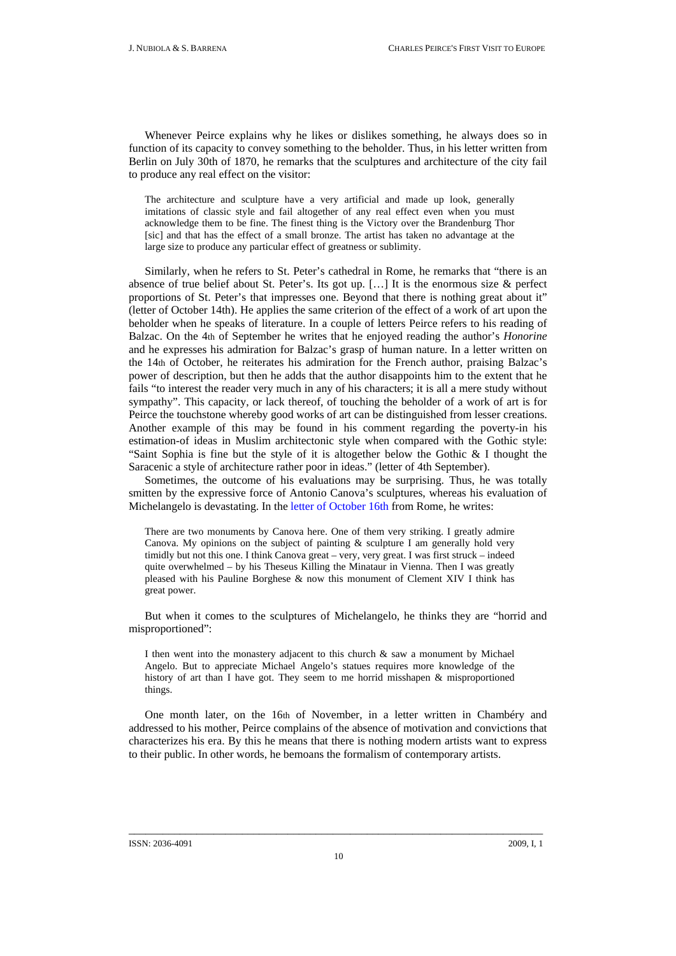Whenever Peirce explains why he likes or dislikes something, he always does so in function of its capacity to convey something to the beholder. Thus, in his letter written from Berlin on July 30th of 1870, he remarks that the sculptures and architecture of the city fail to produce any real effect on the visitor:

The architecture and sculpture have a very artificial and made up look, generally imitations of classic style and fail altogether of any real effect even when you must acknowledge them to be fine. The finest thing is the Victory over the Brandenburg Thor [sic] and that has the effect of a small bronze. The artist has taken no advantage at the large size to produce any particular effect of greatness or sublimity.

Similarly, when he refers to St. Peter's cathedral in Rome, he remarks that "there is an absence of true belief about St. Peter's. Its got up.  $[\dots]$  It is the enormous size  $\&$  perfect proportions of St. Peter's that impresses one. Beyond that there is nothing great about it" (letter of October 14th). He applies the same criterion of the effect of a work of art upon the beholder when he speaks of literature. In a couple of letters Peirce refers to his reading of Balzac. On the 4th of September he writes that he enjoyed reading the author's *Honorine*  and he expresses his admiration for Balzac's grasp of human nature. In a letter written on the 14th of October, he reiterates his admiration for the French author, praising Balzac's power of description, but then he adds that the author disappoints him to the extent that he fails "to interest the reader very much in any of his characters; it is all a mere study without sympathy". This capacity, or lack thereof, of touching the beholder of a work of art is for Peirce the touchstone whereby good works of art can be distinguished from lesser creations. Another example of this may be found in his comment regarding the poverty-in his estimation-of ideas in Muslim architectonic style when compared with the Gothic style: "Saint Sophia is fine but the style of it is altogether below the Gothic & I thought the Saracenic a style of architecture rather poor in ideas." (letter of 4th September).

Sometimes, the outcome of his evaluations may be surprising. Thus, he was totally smitten by the expressive force of Antonio Canova's sculptures, whereas his evaluation of Michelangelo is devastating. In the [letter of October 16th](http://www.unav.es/gep/Roma16.10.70.html) from Rome, he writes:

There are two monuments by Canova here. One of them very striking. I greatly admire Canova. My opinions on the subject of painting  $\&$  sculpture I am generally hold very timidly but not this one. I think Canova great – very, very great. I was first struck – indeed quite overwhelmed – by his [Theseus Killing the Minataur](http://upload.wikimedia.org/wikipedia/commons/6/67/Kunsthistorisches_Museum_Vienna_0117.JPG) in Vienna. Then I was greatly pleased with his [Pauline Borghese](http://upload.wikimedia.org/wikipedia/commons/6/67/Kunsthistorisches_Museum_Vienna_0117.JPG) & now this monument of [Clement XIV](http://en.wikipedia.org/wiki/File:Tomb_of_Pope_Clement_XIV_Gregorovius.jpg) I think has great power.

But when it comes to the sculptures of Michelangelo, he thinks they are "horrid and misproportioned":

I then went into the monastery adjacent to this church & saw a monument by Michael Angelo. But to appreciate Michael Angelo's statues requires more knowledge of the history of art than I have got. They seem to me horrid misshapen & misproportioned things.

One month later, on the 16th of November, in a letter written in Chambéry and addressed to his mother, Peirce complains of the absence of motivation and convictions that characterizes his era. By this he means that there is nothing modern artists want to express to their public. In other words, he bemoans the formalism of contemporary artists.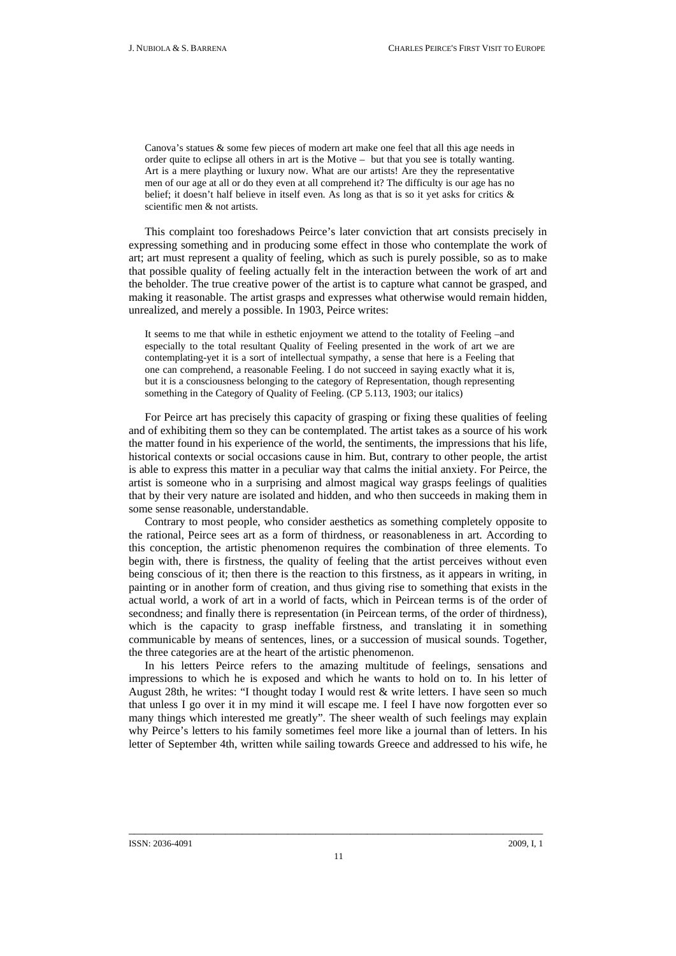Canova's statues & some few pieces of modern art make one feel that all this age needs in order quite to eclipse all others in art is the Motive – but that you see is totally wanting. Art is a mere plaything or luxury now. What are our artists! Are they the representative men of our age at all or do they even at all comprehend it? The difficulty is our age has no belief; it doesn't half believe in itself even. As long as that is so it yet asks for critics & scientific men & not artists.

This complaint too foreshadows Peirce's later conviction that art consists precisely in expressing something and in producing some effect in those who contemplate the work of art; art must represent a quality of feeling, which as such is purely possible, so as to make that possible quality of feeling actually felt in the interaction between the work of art and the beholder. The true creative power of the artist is to capture what cannot be grasped, and making it reasonable. The artist grasps and expresses what otherwise would remain hidden, unrealized, and merely a possible. In 1903, Peirce writes:

It seems to me that while in esthetic enjoyment we attend to the totality of Feeling –and especially to the total resultant Quality of Feeling presented in the work of art we are contemplating-yet it is a sort of intellectual sympathy, a sense that here is a Feeling that one can comprehend, a reasonable Feeling. I do not succeed in saying exactly what it is, but it is a consciousness belonging to the category of Representation, though representing something in the Category of Quality of Feeling. (CP 5.113, 1903; our italics)

For Peirce art has precisely this capacity of grasping or fixing these qualities of feeling and of exhibiting them so they can be contemplated. The artist takes as a source of his work the matter found in his experience of the world, the sentiments, the impressions that his life, historical contexts or social occasions cause in him. But, contrary to other people, the artist is able to express this matter in a peculiar way that calms the initial anxiety. For Peirce, the artist is someone who in a surprising and almost magical way grasps feelings of qualities that by their very nature are isolated and hidden, and who then succeeds in making them in some sense reasonable, understandable.

Contrary to most people, who consider aesthetics as something completely opposite to the rational, Peirce sees art as a form of thirdness, or reasonableness in art. According to this conception, the artistic phenomenon requires the combination of three elements. To begin with, there is firstness, the quality of feeling that the artist perceives without even being conscious of it; then there is the reaction to this firstness, as it appears in writing, in painting or in another form of creation, and thus giving rise to something that exists in the actual world, a work of art in a world of facts, which in Peircean terms is of the order of secondness; and finally there is representation (in Peircean terms, of the order of thirdness), which is the capacity to grasp ineffable firstness, and translating it in something communicable by means of sentences, lines, or a succession of musical sounds. Together, the three categories are at the heart of the artistic phenomenon.

In his letters Peirce refers to the amazing multitude of feelings, sensations and impressions to which he is exposed and which he wants to hold on to. In his letter of August 28th, he writes: "I thought today I would rest & write letters. I have seen so much that unless I go over it in my mind it will escape me. I feel I have now forgotten ever so many things which interested me greatly". The sheer wealth of such feelings may explain why Peirce's letters to his family sometimes feel more like a journal than of letters. In his letter of September 4th, written while sailing towards Greece and addressed to his wife, he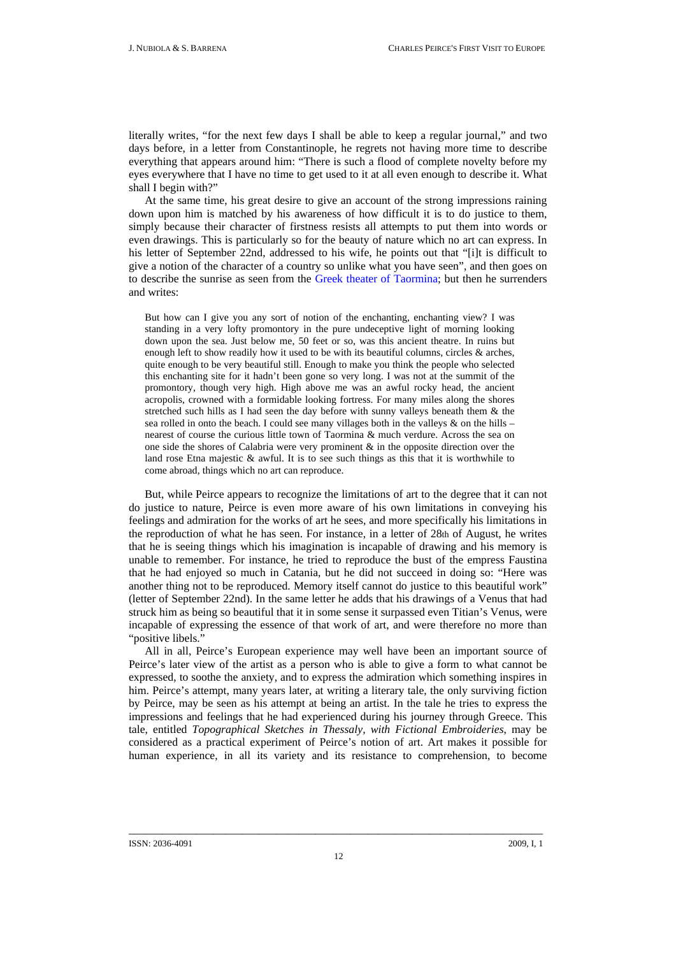literally writes, "for the next few days I shall be able to keep a regular journal," and two days before, in a letter from Constantinople, he regrets not having more time to describe everything that appears around him: "There is such a flood of complete novelty before my eyes everywhere that I have no time to get used to it at all even enough to describe it. What shall I begin with?"

At the same time, his great desire to give an account of the strong impressions raining down upon him is matched by his awareness of how difficult it is to do justice to them, simply because their character of firstness resists all attempts to put them into words or even drawings. This is particularly so for the beauty of nature which no art can express. In his letter of September 22nd, addressed to his wife, he points out that "[i]t is difficult to give a notion of the character of a country so unlike what you have seen", and then goes on to describe the sunrise as seen from the [Greek theater of Taormina;](http://upload.wikimedia.org/wikipedia/commons/9/9e/DSC00820_-_Taormina_-_Teatro_Greco_-_Foto_di_G._DallOrto.jpg) but then he surrenders and writes:

But how can I give you any sort of notion of the enchanting, enchanting view? I was standing in a very lofty promontory in the pure undeceptive light of morning looking down upon the sea. Just below me, 50 feet or so, was this ancient theatre. In ruins but enough left to show readily how it used to be with its beautiful columns, circles  $\&$  arches, quite enough to be very beautiful still. Enough to make you think the people who selected this enchanting site for it hadn't been gone so very long. I was not at the summit of the promontory, though very high. High above me was an awful rocky head, the ancient acropolis, crowned with a formidable looking fortress. For many miles along the shores stretched such hills as I had seen the day before with sunny valleys beneath them & the sea rolled in onto the beach. I could see many villages both in the valleys & on the hills – nearest of course the curious little town of Taormina & much verdure. Across the sea on one side the shores of Calabria were very prominent & in the opposite direction over the land rose Etna majestic  $\&$  awful. It is to see such things as this that it is worthwhile to come abroad, things which no art can reproduce.

But, while Peirce appears to recognize the limitations of art to the degree that it can not do justice to nature, Peirce is even more aware of his own limitations in conveying his feelings and admiration for the works of art he sees, and more specifically his limitations in the reproduction of what he has seen. For instance, in a letter of 28th of August, he writes that he is seeing things which his imagination is incapable of drawing and his memory is unable to remember. For instance, he tried to reproduce the bust of the empress Faustina that he had enjoyed so much in Catania, but he did not succeed in doing so: "Here was another thing not to be reproduced. Memory itself cannot do justice to this beautiful work" (letter of September 22nd). In the same letter he adds that his drawings of a Venus that had struck him as being so beautiful that it in some sense it surpassed even Titian's Venus, were incapable of expressing the essence of that work of art, and were therefore no more than "positive libels."

All in all, Peirce's European experience may well have been an important source of Peirce's later view of the artist as a person who is able to give a form to what cannot be expressed, to soothe the anxiety, and to express the admiration which something inspires in him. Peirce's attempt, many years later, at writing a literary tale, the only surviving fiction by Peirce, may be seen as his attempt at being an artist. In the tale he tries to express the impressions and feelings that he had experienced during his journey through Greece. This tale, entitled *Topographical Sketches in Thessaly, with Fictional Embroideries*, may be considered as a practical experiment of Peirce's notion of art. Art makes it possible for human experience, in all its variety and its resistance to comprehension, to become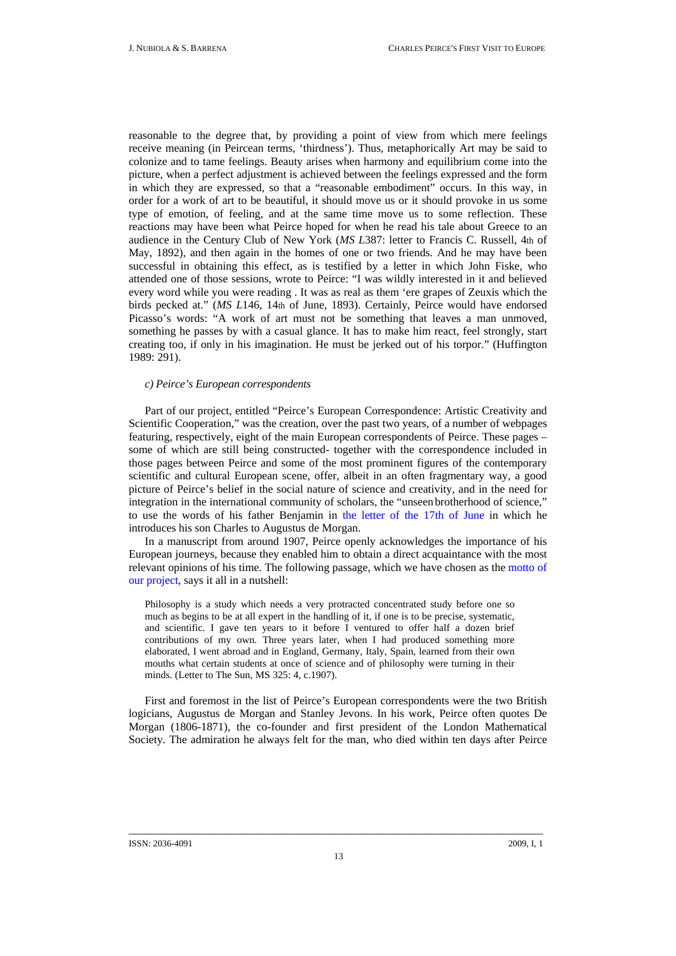reasonable to the degree that, by providing a point of view from which mere feelings receive meaning (in Peircean terms, 'thirdness'). Thus, metaphorically Art may be said to colonize and to tame feelings. Beauty arises when harmony and equilibrium come into the picture, when a perfect adjustment is achieved between the feelings expressed and the form in which they are expressed, so that a "reasonable embodiment" occurs. In this way, in order for a work of art to be beautiful, it should move us or it should provoke in us some type of emotion, of feeling, and at the same time move us to some reflection. These reactions may have been what Peirce hoped for when he read his tale about Greece to an audience in the Century Club of New York (*MS L*387: letter to Francis C. Russell, 4th of May, 1892), and then again in the homes of one or two friends. And he may have been successful in obtaining this effect, as is testified by a letter in which John Fiske, who attended one of those sessions, wrote to Peirce: "I was wildly interested in it and believed every word while you were reading . It was as real as them 'ere grapes of Zeuxis which the birds pecked at." (*MS L*146, 14th of June, 1893). Certainly, Peirce would have endorsed Picasso's words: "A work of art must not be something that leaves a man unmoved, something he passes by with a casual glance. It has to make him react, feel strongly, start creating too, if only in his imagination. He must be jerked out of his torpor." (Huffington 1989: 291).

### *c) Peirce's European correspondents*

Part of our project, entitled "Peirce's European Correspondence: Artistic Creativity and Scientific Cooperation," was the creation, over the past two years, of a number of webpages featuring, respectively, eight of the main European correspondents of Peirce. These pages – some of which are still being constructed- together with the correspondence included in those pages between Peirce and some of the most prominent figures of the contemporary scientific and cultural European scene, offer, albeit in an often fragmentary way, a good picture of Peirce's belief in the social nature of science and creativity, and in the need for integration in the international community of scholars, the "unseen brotherhood of science," to use the words of his father Benjamin in [the letter of the 17th of June](http://www.unav.es/gep/BPeirce17.06.70En.html) in which he introduces his son Charles to Augustus de Morgan.

In a manuscript from around 1907, Peirce openly acknowledges the importance of his European journeys, because they enabled him to obtain a direct acquaintance with the most relevant opinions of his time. The following passage, which we have chosen as the [motto of](http://www.unav.es/gep/LetterTheSun.html)  [our project](http://www.unav.es/gep/LetterTheSun.html), says it all in a nutshell:

Philosophy is a study which needs a very protracted concentrated study before one so much as begins to be at all expert in the handling of it, if one is to be precise, systematic, and scientific. I gave ten years to it before I ventured to offer half a dozen brief contributions of my own. Three years later, when I had produced something more elaborated, I went abroad and in England, Germany, Italy, Spain, learned from their own mouths what certain students at once of science and of philosophy were turning in their minds. (Letter to The Sun, MS 325: 4, c.1907).

First and foremost in the list of Peirce's European correspondents were the two British logicians, Augustus de Morgan and Stanley Jevons. In his work, Peirce often quotes De Morgan (1806-1871), the co-founder and first president of the London Mathematical Society. The admiration he always felt for the man, who died within ten days after Peirce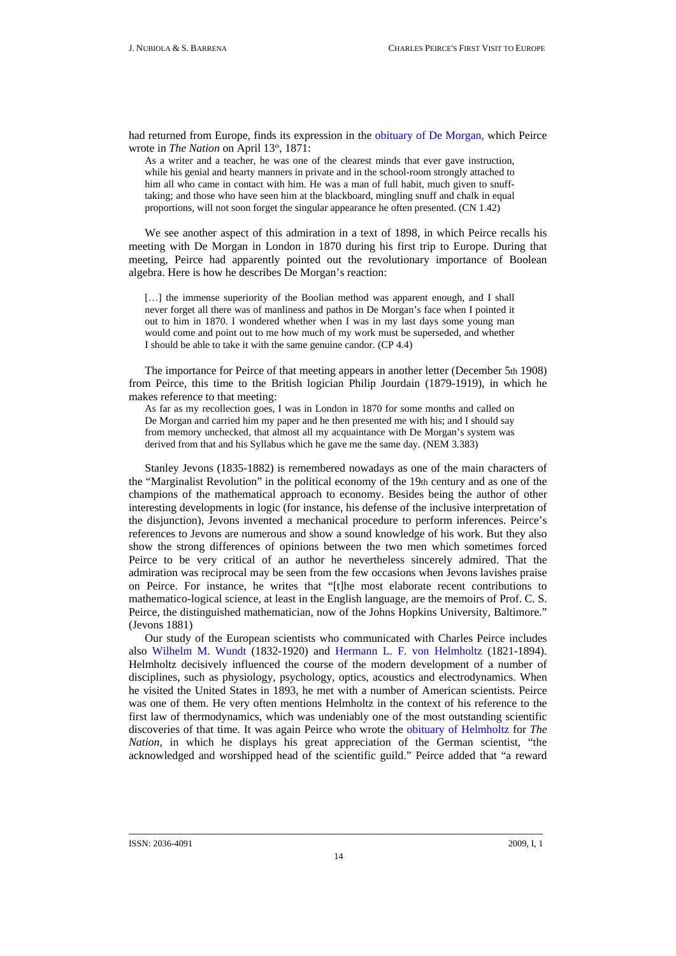had returned from Europe, finds its expression in the [obituary of De Morgan](http://www.iupui.edu/%7Epeirce/writings/v2/w2/w2_45/v2_45.htm)*,* which Peirce wrote in *The Nation* on April 13<sup>th</sup>, 1871:

As a writer and a teacher, he was one of the clearest minds that ever gave instruction, while his genial and hearty manners in private and in the school-room strongly attached to him all who came in contact with him. He was a man of full habit, much given to snufftaking; and those who have seen him at the blackboard, mingling snuff and chalk in equal proportions, will not soon forget the singular appearance he often presented. (CN 1.42)

We see another aspect of this admiration in a text of 1898, in which Peirce recalls his meeting with De Morgan in London in 1870 during his first trip to Europe. During that meeting, Peirce had apparently pointed out the revolutionary importance of Boolean algebra. Here is how he describes De Morgan's reaction:

[...] the immense superiority of the Boolian method was apparent enough, and I shall never forget all there was of manliness and pathos in De Morgan's face when I pointed it out to him in 1870. I wondered whether when I was in my last days some young man would come and point out to me how much of my work must be superseded, and whether I should be able to take it with the same genuine candor. (CP 4.4)

The importance for Peirce of that meeting appears in another letter (December 5th 1908) from Peirce, this time to the British logician Philip Jourdain (1879-1919), in which he makes reference to that meeting:

As far as my recollection goes, I was in London in 1870 for some months and called on De Morgan and carried him my paper and he then presented me with his; and I should say from memory unchecked, that almost all my acquaintance with De Morgan's system was derived from that and his Syllabus which he gave me the same day. (NEM 3.383)

Stanley Jevons (1835-1882) is remembered nowadays as one of the main characters of the "Marginalist Revolution" in the political economy of the 19th century and as one of the champions of the mathematical approach to economy. Besides being the author of other interesting developments in logic (for instance, his defense of the inclusive interpretation of the disjunction), Jevons invented a mechanical procedure to perform inferences. Peirce's references to Jevons are numerous and show a sound knowledge of his work. But they also show the strong differences of opinions between the two men which sometimes forced Peirce to be very critical of an author he nevertheless sincerely admired. That the admiration was reciprocal may be seen from the few occasions when Jevons lavishes praise on Peirce. For instance, he writes that "[t]he most elaborate recent contributions to mathematico-logical science, at least in the English language, are the memoirs of Prof. C. S. Peirce, the distinguished mathematician, now of the Johns Hopkins University, Baltimore." (Jevons 1881)

Our study of the European scientists who communicated with Charles Peirce includes also [Wilhelm M. Wundt](http://www.unav.es/gep/Wundt.html) (1832-1920) and [Hermann L. F. von Helmholtz](http://www.unav.es/gep/Helmholtz.html) (1821-1894). Helmholtz decisively influenced the course of the modern development of a number of disciplines, such as physiology, psychology, optics, acoustics and electrodynamics. When he visited the United States in 1893, he met with a number of American scientists. Peirce was one of them. He very often mentions Helmholtz in the context of his reference to the first law of thermodynamics, which was undeniably one of the most outstanding scientific discoveries of that time. It was again Peirce who wrote the [obituary of Helmholtz](http://www.unav.es/gep/ObiturarioHelmholtzCorrespondencia.html) for *The Nation*, in which he displays his great appreciation of the German scientist, "the acknowledged and worshipped head of the scientific guild." Peirce added that "a reward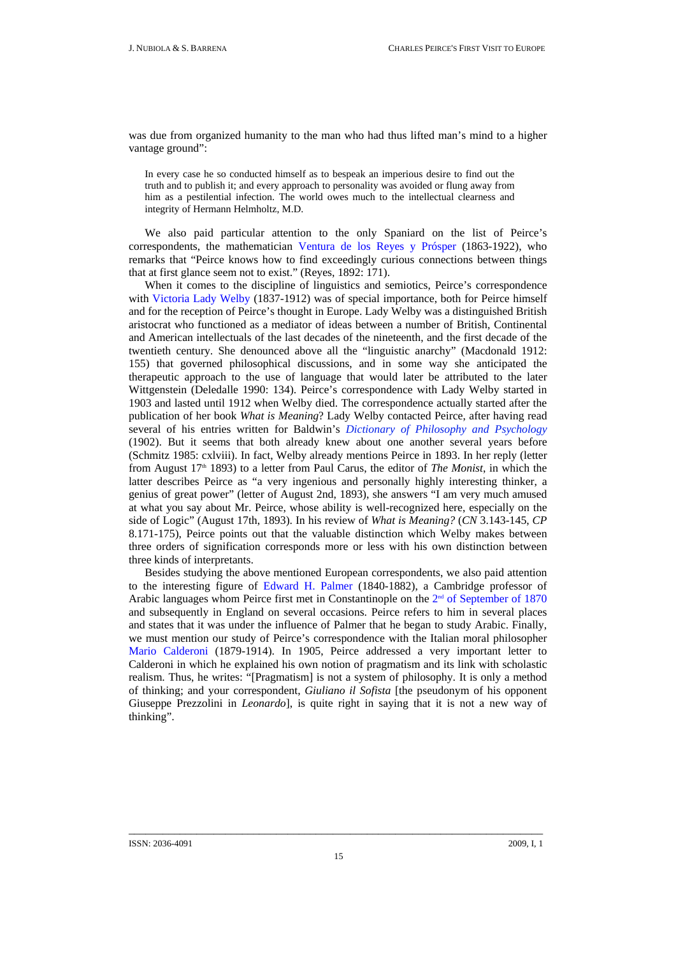was due from organized humanity to the man who had thus lifted man's mind to a higher vantage ground":

In every case he so conducted himself as to bespeak an imperious desire to find out the truth and to publish it; and every approach to personality was avoided or flung away from him as a pestilential infection. The world owes much to the intellectual clearness and integrity of Hermann Helmholtz, M.D.

We also paid particular attention to the only Spaniard on the list of Peirce's correspondents, the mathematician [Ventura de los Reyes y Prósper](http://www.unav.es/gep/ReyesyProsper.html) (1863-1922), who remarks that "Peirce knows how to find exceedingly curious connections between things that at first glance seem not to exist." (Reyes, 1892: 171).

When it comes to the discipline of linguistics and semiotics, Peirce's correspondence with [Victoria Lady Welby](http://www.unav.es/gep/LadyWelby.html) (1837-1912) was of special importance, both for Peirce himself and for the reception of Peirce's thought in Europe. Lady Welby was a distinguished British aristocrat who functioned as a mediator of ideas between a number of British, Continental and American intellectuals of the last decades of the nineteenth, and the first decade of the twentieth century. She denounced above all the "linguistic anarchy" (Macdonald 1912: 155) that governed philosophical discussions, and in some way she anticipated the therapeutic approach to the use of language that would later be attributed to the later Wittgenstein (Deledalle 1990: 134). Peirce's correspondence with Lady Welby started in 1903 and lasted until 1912 when Welby died. The correspondence actually started after the publication of her book *What is Meaning*? Lady Welby contacted Peirce, after having read several of his entries written for Baldwin's *[Dictionary of Philosophy and Psychology](http://psychclassics.yorku.ca/Baldwin/Dictionary/)* (1902). But it seems that both already knew about one another several years before (Schmitz 1985: cxlviii). In fact, Welby already mentions Peirce in 1893. In her reply (letter from August 17th 1893) to a letter from Paul Carus, the editor of *The Monist*, in which the latter describes Peirce as "a very ingenious and personally highly interesting thinker, a genius of great power" (letter of August 2nd, 1893), she answers "I am very much amused at what you say about Mr. Peirce, whose ability is well-recognized here, especially on the side of Logic" (August 17th, 1893). In his review of *What is Meaning?* (*CN* 3.143-145, *CP* 8.171-175), Peirce points out that the valuable distinction which Welby makes between three orders of signification corresponds more or less with his own distinction between three kinds of interpretants.

Besides studying the above mentioned European correspondents, we also paid attention to the interesting figure of [Edward H. Palmer](http://www.unav.es/gep/EdwardHenryPalmer.html) (1840-1882), a Cambridge professor of Arabic languages whom Peirce first met in Constantinople on the  $2<sup>nd</sup>$  of September of 1870 and subsequently in England on several occasions. Peirce refers to him in several places and states that it was under the influence of Palmer that he began to study Arabic. Finally, we must mention our study of Peirce's correspondence with the Italian moral philosopher [Mario Calderoni](http://www.unav.es/gep/MarioCalderoni.html) (1879-1914). In 1905, Peirce addressed a very important letter to Calderoni in which he explained his own notion of pragmatism and its link with scholastic realism. Thus, he writes: "[Pragmatism] is not a system of philosophy. It is only a method of thinking; and your correspondent, *Giuliano il Sofista* [the pseudonym of his opponent Giuseppe Prezzolini in *Leonardo*], is quite right in saying that it is not a new way of thinking".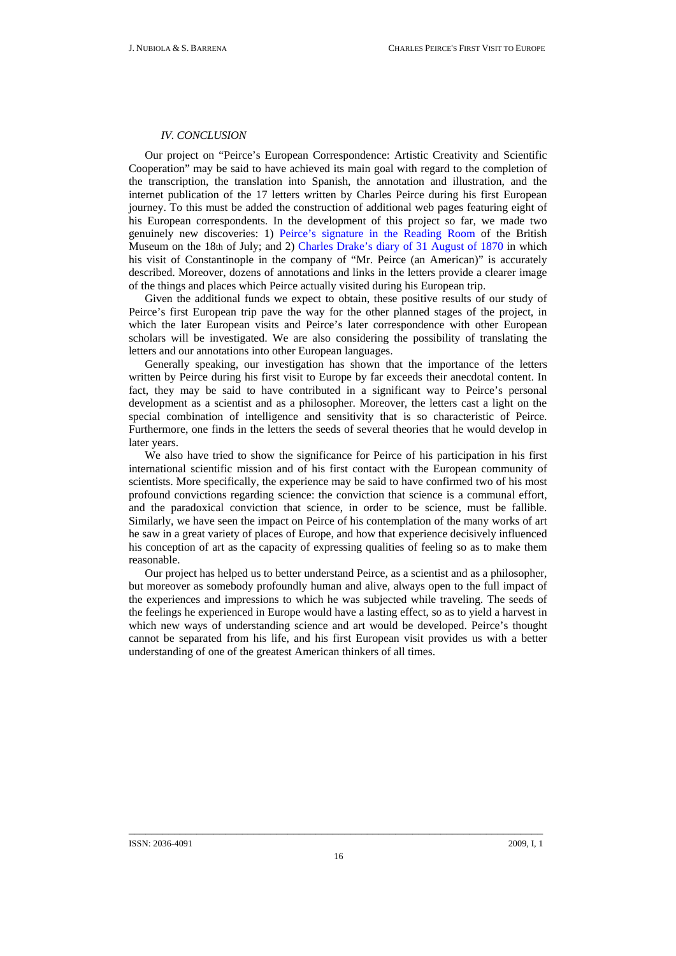# *IV. CONCLUSION*

Our project on "Peirce's European Correspondence: Artistic Creativity and Scientific Cooperation" may be said to have achieved its main goal with regard to the completion of the transcription, the translation into Spanish, the annotation and illustration, and the internet publication of the 17 letters written by Charles Peirce during his first European journey. To this must be added the construction of additional web pages featuring eight of his European correspondents. In the development of this project so far, we made two genuinely new discoveries: 1) [Peirce's signature in the Reading Room](http://www.unav.es/gep/PeirceBritishMuseum.html) of the British Museum on the 18th of July; and 2) [Charles Drake's diary of 31 August of 1870](http://www.unav.es/gep/DiarioDrake31.08.70.html) in which his visit of Constantinople in the company of "Mr. Peirce (an American)" is accurately described. Moreover, dozens of annotations and links in the letters provide a clearer image of the things and places which Peirce actually visited during his European trip.

Given the additional funds we expect to obtain, these positive results of our study of Peirce's first European trip pave the way for the other planned stages of the project, in which the later European visits and Peirce's later correspondence with other European scholars will be investigated. We are also considering the possibility of translating the letters and our annotations into other European languages.

Generally speaking, our investigation has shown that the importance of the letters written by Peirce during his first visit to Europe by far exceeds their anecdotal content. In fact, they may be said to have contributed in a significant way to Peirce's personal development as a scientist and as a philosopher. Moreover, the letters cast a light on the special combination of intelligence and sensitivity that is so characteristic of Peirce. Furthermore, one finds in the letters the seeds of several theories that he would develop in later years.

We also have tried to show the significance for Peirce of his participation in his first international scientific mission and of his first contact with the European community of scientists. More specifically, the experience may be said to have confirmed two of his most profound convictions regarding science: the conviction that science is a communal effort, and the paradoxical conviction that science, in order to be science, must be fallible. Similarly, we have seen the impact on Peirce of his contemplation of the many works of art he saw in a great variety of places of Europe, and how that experience decisively influenced his conception of art as the capacity of expressing qualities of feeling so as to make them reasonable.

Our project has helped us to better understand Peirce, as a scientist and as a philosopher, but moreover as somebody profoundly human and alive, always open to the full impact of the experiences and impressions to which he was subjected while traveling. The seeds of the feelings he experienced in Europe would have a lasting effect, so as to yield a harvest in which new ways of understanding science and art would be developed. Peirce's thought cannot be separated from his life, and his first European visit provides us with a better understanding of one of the greatest American thinkers of all times.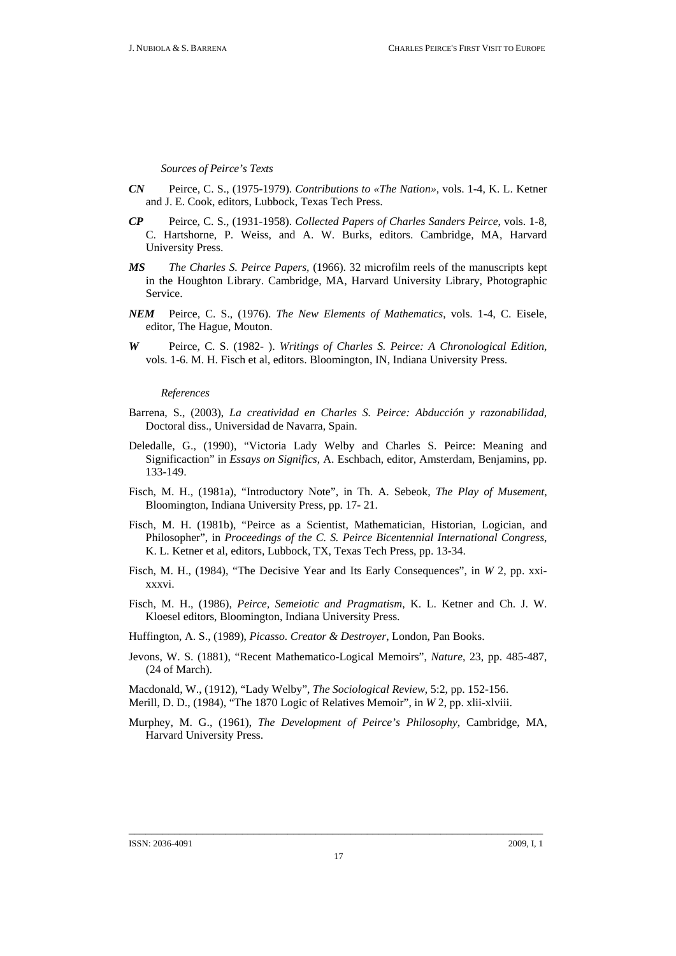*Sources of Peirce's Texts* 

- *CN* Peirce, C. S., (1975-1979). *Contributions to «The Nation»*, vols. 1-4, K. L. Ketner and J. E. Cook, editors, Lubbock, Texas Tech Press.
- *CP* Peirce, C. S., (1931-1958). *Collected Papers of Charles Sanders Peirce*, vols. 1-8, C. Hartshorne, P. Weiss, and A. W. Burks, editors. Cambridge, MA, Harvard University Press.
- *MS The Charles S. Peirce Papers,* (1966). 32 microfilm reels of the manuscripts kept in the Houghton Library. Cambridge, MA, Harvard University Library, Photographic Service.
- *NEM* Peirce, C. S., (1976). *The New Elements of Mathematics*, vols. 1-4, C. Eisele, editor, The Hague, Mouton.
- *W* Peirce, C. S. (1982- ). *Writings of Charles S. Peirce: A Chronological Edition*, vols. 1-6. M. H. Fisch et al, editors. Bloomington, IN, Indiana University Press.

*References* 

- Barrena, S., (2003), *La creatividad en Charles S. Peirce: Abducción y razonabilidad,* Doctoral diss., Universidad de Navarra, Spain.
- Deledalle, G., (1990), "Victoria Lady Welby and Charles S. Peirce: Meaning and Significaction" in *Essays on Significs*, A. Eschbach, editor, Amsterdam, Benjamins, pp. 133-149.
- Fisch, M. H., (1981a), "Introductory Note", in Th. A. Sebeok, *The Play of Musement*, Bloomington, Indiana University Press, pp. 17- 21.
- Fisch, M. H. (1981b), "Peirce as a Scientist, Mathematician, Historian, Logician, and Philosopher", in *Proceedings of the C. S. Peirce Bicentennial International Congress*, K. L. Ketner et al, editors, Lubbock, TX, Texas Tech Press, pp. 13-34.
- Fisch, M. H., (1984), "The Decisive Year and Its Early Consequences", in *W* 2, pp. xxixxxvi.
- Fisch, M. H., (1986), *Peirce, Semeiotic and Pragmatism*, K. L. Ketner and Ch. J. W. Kloesel editors, Bloomington, Indiana University Press.
- Huffington, A. S., (1989), *Picasso. Creator & Destroyer*, London, Pan Books.
- Jevons, W. S. (1881), "Recent Mathematico-Logical Memoirs", *Nature*, 23, pp. 485-487, (24 of March).

Macdonald, W., (1912), "Lady Welby", *The Sociological Review*, 5:2, pp. 152-156.

- Merill, D. D., (1984), "The 1870 Logic of Relatives Memoir", in *W* 2, pp. xlii-xlviii.
- Murphey, M. G., (1961), *The Development of Peirce's Philosophy*, Cambridge, MA, Harvard University Press.